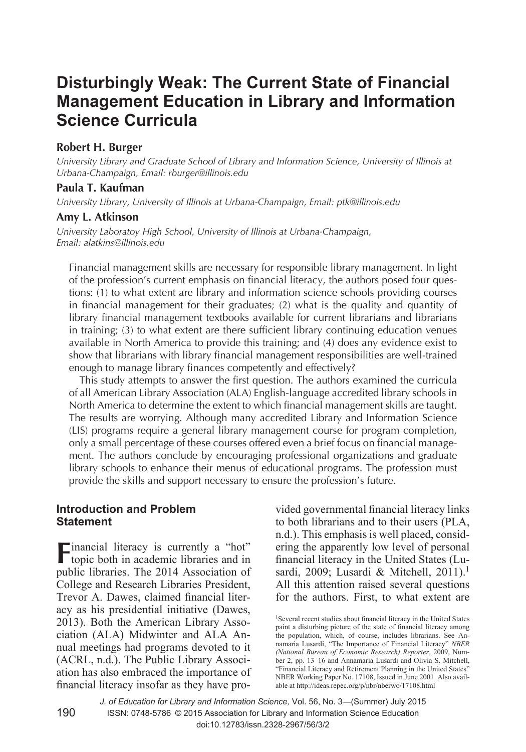# **Disturbingly Weak: The Current State of Financial Management Education in Library and Information Science Curricula**

## **Robert H. Burger**

*University Library and Graduate School of Library and Information Science, University of Illinois at Urbana-Champaign, Email: rburger@illinois.edu*

## **Paula T. Kaufman**

*University Library, University of Illinois at Urbana-Champaign, Email: ptk@illinois.edu*

## **Amy L. Atkinson**

*University Laboratoy High School, University of Illinois at Urbana-Champaign, Email: alatkins@illinois.edu*

Financial management skills are necessary for responsible library management. In light of the profession's current emphasis on financial literacy, the authors posed four questions: (1) to what extent are library and information science schools providing courses in financial management for their graduates; (2) what is the quality and quantity of library financial management textbooks available for current librarians and librarians in training; (3) to what extent are there sufficient library continuing education venues available in North America to provide this training; and (4) does any evidence exist to show that librarians with library financial management responsibilities are well-trained enough to manage library finances competently and effectively?

This study attempts to answer the first question. The authors examined the curricula of all American Library Association (ALA) English-language accredited library schools in North America to determine the extent to which financial management skills are taught. The results are worrying. Although many accredited Library and Information Science (LIS) programs require a general library management course for program completion, only a small percentage of these courses offered even a brief focus on financial management. The authors conclude by encouraging professional organizations and graduate library schools to enhance their menus of educational programs. The profession must provide the skills and support necessary to ensure the profession's future.

## **Introduction and Problem Statement**

**F**inancial literacy is currently a "hot" topic both in academic libraries and in public libraries. The 2014 Association of College and Research Libraries President, Trevor A. Dawes, claimed financial literacy as his presidential initiative (Dawes, 2013). Both the American Library Association (ALA) Midwinter and ALA Annual meetings had programs devoted to it (ACRL, n.d.). The Public Library Association has also embraced the importance of financial literacy insofar as they have provided governmental financial literacy links to both librarians and to their users (PLA, n.d.). This emphasis is well placed, considering the apparently low level of personal financial literacy in the United States (Lusardi, 2009; Lusardi & Mitchell, 2011).<sup>1</sup> All this attention raised several questions for the authors. First, to what extent are

<sup>1</sup>Several recent studies about financial literacy in the United States paint a disturbing picture of the state of financial literacy among the population, which, of course, includes librarians. See Annamaria Lusardi, "The Importance of Financial Literacy" *NBER (National Bureau of Economic Research) Reporter*, 2009, Number 2, pp. 13–16 and Annamaria Lusardi and Olivia S. Mitchell, "Financial Literacy and Retirement Planning in the United States" NBER Working Paper No. 17108, Issued in June 2001. Also available at http://ideas.repec.org/p/nbr/nberwo/17108.html

*J. of Education for Library and Information Science,* Vol. 56, No. 3—(Summer) July 2015 ISSN: 0748-5786 © 2015 Association for Library and Information Science Education doi:10.12783/issn.2328-2967/56/3/2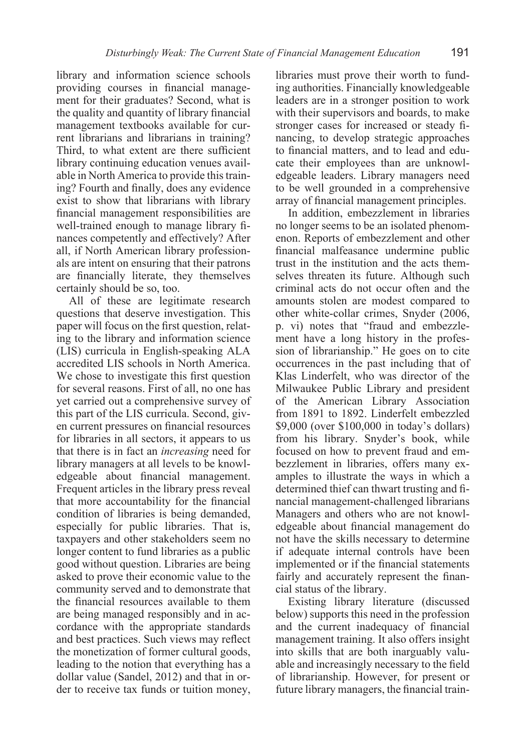library and information science schools providing courses in financial management for their graduates? Second, what is the quality and quantity of library financial management textbooks available for current librarians and librarians in training? Third, to what extent are there sufficient library continuing education venues available in North America to provide this training? Fourth and finally, does any evidence exist to show that librarians with library financial management responsibilities are well-trained enough to manage library finances competently and effectively? After all, if North American library professionals are intent on ensuring that their patrons are financially literate, they themselves certainly should be so, too.

All of these are legitimate research questions that deserve investigation. This paper will focus on the first question, relating to the library and information science (LIS) curricula in English-speaking ALA accredited LIS schools in North America. We chose to investigate this first question for several reasons. First of all, no one has yet carried out a comprehensive survey of this part of the LIS curricula. Second, given current pressures on financial resources for libraries in all sectors, it appears to us that there is in fact an *increasing* need for library managers at all levels to be knowledgeable about financial management. Frequent articles in the library press reveal that more accountability for the financial condition of libraries is being demanded, especially for public libraries. That is, taxpayers and other stakeholders seem no longer content to fund libraries as a public good without question. Libraries are being asked to prove their economic value to the community served and to demonstrate that the financial resources available to them are being managed responsibly and in accordance with the appropriate standards and best practices. Such views may reflect the monetization of former cultural goods, leading to the notion that everything has a dollar value (Sandel, 2012) and that in order to receive tax funds or tuition money,

libraries must prove their worth to funding authorities. Financially knowledgeable leaders are in a stronger position to work with their supervisors and boards, to make stronger cases for increased or steady financing, to develop strategic approaches to financial matters, and to lead and educate their employees than are unknowledgeable leaders. Library managers need to be well grounded in a comprehensive array of financial management principles.

In addition, embezzlement in libraries no longer seems to be an isolated phenomenon. Reports of embezzlement and other financial malfeasance undermine public trust in the institution and the acts themselves threaten its future. Although such criminal acts do not occur often and the amounts stolen are modest compared to other white-collar crimes, Snyder (2006, p. vi) notes that "fraud and embezzlement have a long history in the profession of librarianship." He goes on to cite occurrences in the past including that of Klas Linderfelt, who was director of the Milwaukee Public Library and president of the American Library Association from 1891 to 1892. Linderfelt embezzled \$9,000 (over \$100,000 in today's dollars) from his library. Snyder's book, while focused on how to prevent fraud and embezzlement in libraries, offers many examples to illustrate the ways in which a determined thief can thwart trusting and financial management-challenged librarians Managers and others who are not knowledgeable about financial management do not have the skills necessary to determine if adequate internal controls have been implemented or if the financial statements fairly and accurately represent the financial status of the library.

Existing library literature (discussed below) supports this need in the profession and the current inadequacy of financial management training. It also offers insight into skills that are both inarguably valuable and increasingly necessary to the field of librarianship. However, for present or future library managers, the financial train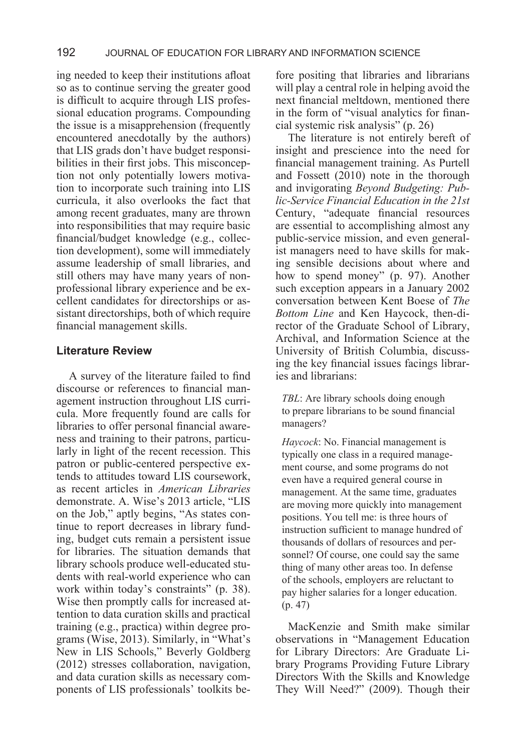ing needed to keep their institutions afloat so as to continue serving the greater good is difficult to acquire through LIS professional education programs. Compounding the issue is a misapprehension (frequently encountered anecdotally by the authors) that LIS grads don't have budget responsibilities in their first jobs. This misconception not only potentially lowers motivation to incorporate such training into LIS curricula, it also overlooks the fact that among recent graduates, many are thrown into responsibilities that may require basic financial/budget knowledge (e.g., collection development), some will immediately assume leadership of small libraries, and still others may have many years of nonprofessional library experience and be excellent candidates for directorships or assistant directorships, both of which require financial management skills.

## **Literature Review**

A survey of the literature failed to find discourse or references to financial management instruction throughout LIS curricula. More frequently found are calls for libraries to offer personal financial awareness and training to their patrons, particularly in light of the recent recession. This patron or public-centered perspective extends to attitudes toward LIS coursework, as recent articles in *American Libraries* demonstrate. A. Wise's 2013 article, "LIS on the Job," aptly begins, "As states continue to report decreases in library funding, budget cuts remain a persistent issue for libraries. The situation demands that library schools produce well-educated students with real-world experience who can work within today's constraints" (p. 38). Wise then promptly calls for increased attention to data curation skills and practical training (e.g., practica) within degree programs (Wise, 2013). Similarly, in "What's New in LIS Schools," Beverly Goldberg (2012) stresses collaboration, navigation, and data curation skills as necessary components of LIS professionals' toolkits before positing that libraries and librarians will play a central role in helping avoid the next financial meltdown, mentioned there in the form of "visual analytics for financial systemic risk analysis" (p. 26)

The literature is not entirely bereft of insight and prescience into the need for financial management training. As Purtell and Fossett (2010) note in the thorough and invigorating *Beyond Budgeting: Public-Service Financial Education in the 21st* Century, "adequate financial resources are essential to accomplishing almost any public-service mission, and even generalist managers need to have skills for making sensible decisions about where and how to spend money" (p. 97). Another such exception appears in a January 2002 conversation between Kent Boese of *The Bottom Line* and Ken Haycock, then-director of the Graduate School of Library, Archival, and Information Science at the University of British Columbia, discussing the key financial issues facings libraries and librarians:

*TBL*: Are library schools doing enough to prepare librarians to be sound financial managers?

*Haycock*: No. Financial management is typically one class in a required management course, and some programs do not even have a required general course in management. At the same time, graduates are moving more quickly into management positions. You tell me: is three hours of instruction sufficient to manage hundred of thousands of dollars of resources and personnel? Of course, one could say the same thing of many other areas too. In defense of the schools, employers are reluctant to pay higher salaries for a longer education. (p. 47)

MacKenzie and Smith make similar observations in "Management Education for Library Directors: Are Graduate Library Programs Providing Future Library Directors With the Skills and Knowledge They Will Need?" (2009). Though their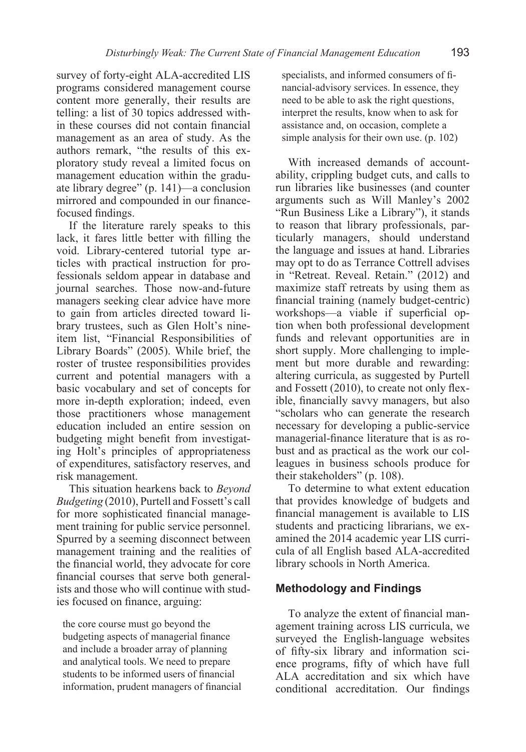survey of forty-eight ALA-accredited LIS programs considered management course content more generally, their results are telling: a list of 30 topics addressed within these courses did not contain financial management as an area of study. As the authors remark, "the results of this exploratory study reveal a limited focus on management education within the graduate library degree" (p. 141)—a conclusion mirrored and compounded in our financefocused findings.

If the literature rarely speaks to this lack, it fares little better with filling the void. Library-centered tutorial type articles with practical instruction for professionals seldom appear in database and journal searches. Those now-and-future managers seeking clear advice have more to gain from articles directed toward library trustees, such as Glen Holt's nineitem list, "Financial Responsibilities of Library Boards" (2005). While brief, the roster of trustee responsibilities provides current and potential managers with a basic vocabulary and set of concepts for more in-depth exploration; indeed, even those practitioners whose management education included an entire session on budgeting might benefit from investigating Holt's principles of appropriateness of expenditures, satisfactory reserves, and risk management.

This situation hearkens back to *Beyond Budgeting* (2010), Purtell and Fossett's call for more sophisticated financial management training for public service personnel. Spurred by a seeming disconnect between management training and the realities of the financial world, they advocate for core financial courses that serve both generalists and those who will continue with studies focused on finance, arguing:

the core course must go beyond the budgeting aspects of managerial finance and include a broader array of planning and analytical tools. We need to prepare students to be informed users of financial information, prudent managers of financial

specialists, and informed consumers of financial-advisory services. In essence, they need to be able to ask the right questions, interpret the results, know when to ask for assistance and, on occasion, complete a simple analysis for their own use. (p. 102)

With increased demands of accountability, crippling budget cuts, and calls to run libraries like businesses (and counter arguments such as Will Manley's 2002 "Run Business Like a Library"), it stands to reason that library professionals, particularly managers, should understand the language and issues at hand. Libraries may opt to do as Terrance Cottrell advises in "Retreat. Reveal. Retain." (2012) and maximize staff retreats by using them as financial training (namely budget-centric) workshops—a viable if superficial option when both professional development funds and relevant opportunities are in short supply. More challenging to implement but more durable and rewarding: altering curricula, as suggested by Purtell and Fossett (2010), to create not only flexible, financially savvy managers, but also "scholars who can generate the research necessary for developing a public-service managerial-finance literature that is as robust and as practical as the work our colleagues in business schools produce for their stakeholders" (p. 108).

To determine to what extent education that provides knowledge of budgets and financial management is available to LIS students and practicing librarians, we examined the 2014 academic year LIS curricula of all English based ALA-accredited library schools in North America.

## **Methodology and Findings**

To analyze the extent of financial management training across LIS curricula, we surveyed the English-language websites of fifty-six library and information science programs, fifty of which have full ALA accreditation and six which have conditional accreditation. Our findings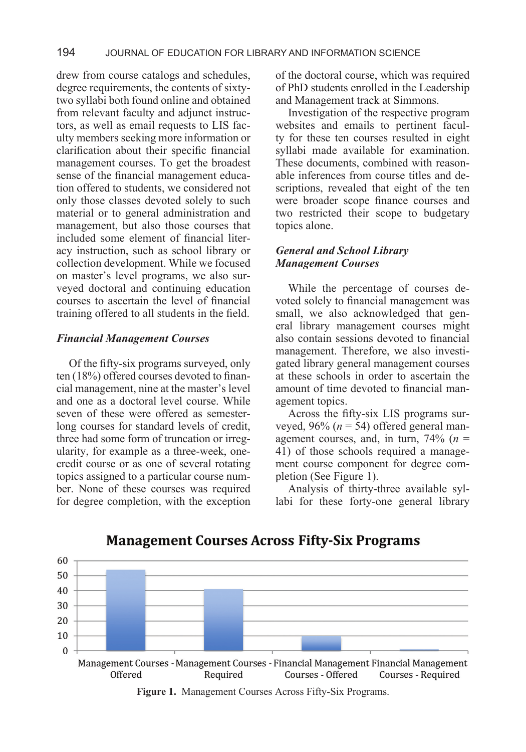drew from course catalogs and schedules, degree requirements, the contents of sixtytwo syllabi both found online and obtained from relevant faculty and adjunct instructors, as well as email requests to LIS faculty members seeking more information or clarification about their specific financial management courses. To get the broadest sense of the financial management education offered to students, we considered not only those classes devoted solely to such material or to general administration and management, but also those courses that included some element of financial literacy instruction, such as school library or collection development. While we focused on master's level programs, we also surveyed doctoral and continuing education courses to ascertain the level of financial training offered to all students in the field.

#### *Financial Management Courses*

Of the fifty-six programs surveyed, only ten (18%) offered courses devoted to financial management, nine at the master's level and one as a doctoral level course. While seven of these were offered as semesterlong courses for standard levels of credit, three had some form of truncation or irregularity, for example as a three-week, onecredit course or as one of several rotating topics assigned to a particular course number. None of these courses was required for degree completion, with the exception

of the doctoral course, which was required of PhD students enrolled in the Leadership and Management track at Simmons.

Investigation of the respective program websites and emails to pertinent faculty for these ten courses resulted in eight syllabi made available for examination. These documents, combined with reasonable inferences from course titles and descriptions, revealed that eight of the ten were broader scope finance courses and two restricted their scope to budgetary topics alone.

#### *General and School Library Management Courses*

While the percentage of courses devoted solely to financial management was small, we also acknowledged that general library management courses might also contain sessions devoted to financial management. Therefore, we also investigated library general management courses at these schools in order to ascertain the amount of time devoted to financial management topics.

Across the fifty-six LIS programs surveyed,  $96\%$  ( $n = 54$ ) offered general management courses, and, in turn, 74% (*n* = 41) of those schools required a management course component for degree completion (See Figure 1).

Analysis of thirty-three available syllabi for these forty-one general library



# **Management Courses Across Fifty-Six Programs**

**Figure 1.** Management Courses Across Fifty-Six Programs.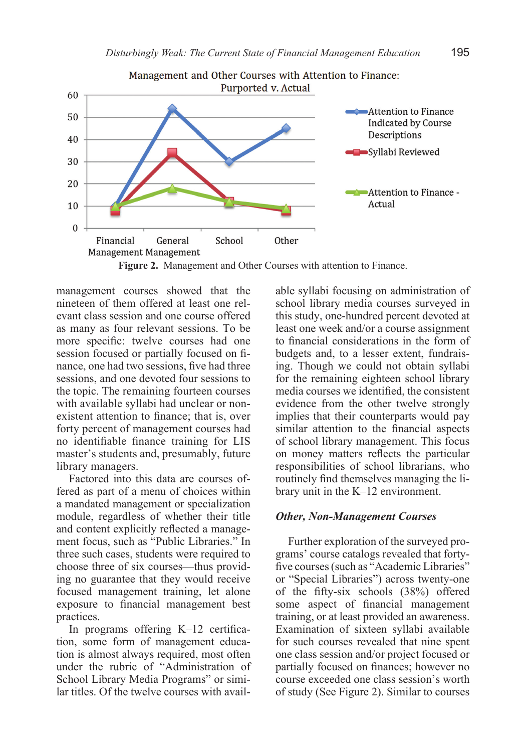

**Figure 2.** Management and Other Courses with attention to Finance.

management courses showed that the nineteen of them offered at least one relevant class session and one course offered as many as four relevant sessions. To be more specific: twelve courses had one session focused or partially focused on finance, one had two sessions, five had three sessions, and one devoted four sessions to the topic. The remaining fourteen courses with available syllabi had unclear or nonexistent attention to finance; that is, over forty percent of management courses had no identifiable finance training for LIS master's students and, presumably, future library managers.

Factored into this data are courses offered as part of a menu of choices within a mandated management or specialization module, regardless of whether their title and content explicitly reflected a management focus, such as "Public Libraries." In three such cases, students were required to choose three of six courses—thus providing no guarantee that they would receive focused management training, let alone exposure to financial management best practices.

In programs offering K–12 certification, some form of management education is almost always required, most often under the rubric of "Administration of School Library Media Programs" or similar titles. Of the twelve courses with available syllabi focusing on administration of school library media courses surveyed in this study, one-hundred percent devoted at least one week and/or a course assignment to financial considerations in the form of budgets and, to a lesser extent, fundraising. Though we could not obtain syllabi for the remaining eighteen school library media courses we identified, the consistent evidence from the other twelve strongly implies that their counterparts would pay similar attention to the financial aspects of school library management. This focus on money matters reflects the particular responsibilities of school librarians, who routinely find themselves managing the library unit in the K–12 environment.

#### *Other, Non-Management Courses*

Further exploration of the surveyed programs' course catalogs revealed that fortyfive courses (such as "Academic Libraries" or "Special Libraries") across twenty-one of the fifty-six schools (38%) offered some aspect of financial management training, or at least provided an awareness. Examination of sixteen syllabi available for such courses revealed that nine spent one class session and/or project focused or partially focused on finances; however no course exceeded one class session's worth of study (See Figure 2). Similar to courses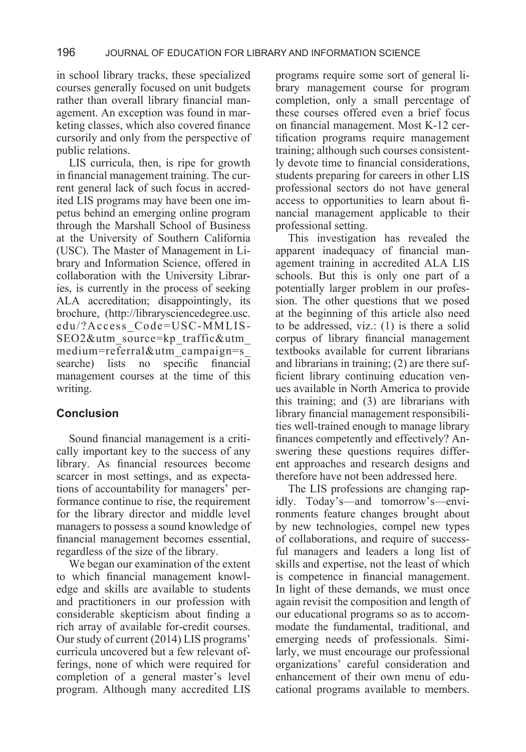## 196 JOURNAL OF EDUCATION FOR LIBRARY AND INFORMATION SCIENCE

in school library tracks, these specialized courses generally focused on unit budgets rather than overall library financial management. An exception was found in marketing classes, which also covered finance cursorily and only from the perspective of public relations.

LIS curricula, then, is ripe for growth in financial management training. The current general lack of such focus in accredited LIS programs may have been one impetus behind an emerging online program through the Marshall School of Business at the University of Southern California (USC). The Master of Management in Library and Information Science, offered in collaboration with the University Libraries, is currently in the process of seeking ALA accreditation; disappointingly, its brochure, (http://librarysciencedegree.usc. edu/?Access\_Code=USC-MMLIS-SEO2&utm\_source=kp\_traffic&utm\_ medium=referral&utm\_campaign=s\_ searche) lists no specific financial management courses at the time of this writing.

#### **Conclusion**

Sound financial management is a critically important key to the success of any library. As financial resources become scarcer in most settings, and as expectations of accountability for managers' performance continue to rise, the requirement for the library director and middle level managers to possess a sound knowledge of financial management becomes essential, regardless of the size of the library.

We began our examination of the extent to which financial management knowledge and skills are available to students and practitioners in our profession with considerable skepticism about finding a rich array of available for-credit courses. Our study of current (2014) LIS programs' curricula uncovered but a few relevant offerings, none of which were required for completion of a general master's level program. Although many accredited LIS programs require some sort of general library management course for program completion, only a small percentage of these courses offered even a brief focus on financial management. Most K-12 certification programs require management training; although such courses consistently devote time to financial considerations, students preparing for careers in other LIS professional sectors do not have general access to opportunities to learn about financial management applicable to their professional setting.

This investigation has revealed the apparent inadequacy of financial management training in accredited ALA LIS schools. But this is only one part of a potentially larger problem in our profession. The other questions that we posed at the beginning of this article also need to be addressed, viz.: (1) is there a solid corpus of library financial management textbooks available for current librarians and librarians in training; (2) are there sufficient library continuing education venues available in North America to provide this training; and (3) are librarians with library financial management responsibilities well-trained enough to manage library finances competently and effectively? Answering these questions requires different approaches and research designs and therefore have not been addressed here.

The LIS professions are changing rapidly. Today's—and tomorrow's—environments feature changes brought about by new technologies, compel new types of collaborations, and require of successful managers and leaders a long list of skills and expertise, not the least of which is competence in financial management. In light of these demands, we must once again revisit the composition and length of our educational programs so as to accommodate the fundamental, traditional, and emerging needs of professionals. Similarly, we must encourage our professional organizations' careful consideration and enhancement of their own menu of educational programs available to members.